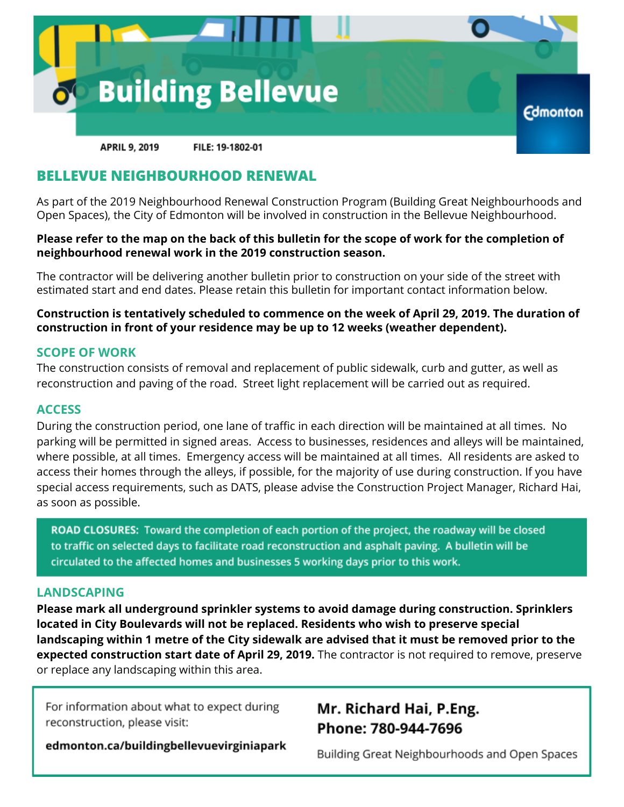

# **BELLEVUE NEIGHBOURHOOD RENEWAL**

As part of the 2019 Neighbourhood Renewal Construction Program (Building Great Neighbourhoods and Open Spaces), the City of Edmonton will be involved in construction in the Bellevue Neighbourhood.

## Please refer to the map on the back of this bulletin for the scope of work for the completion of **neighbourhood renewal work in the 2019 construction season.**

The contractor will be delivering another bulletin prior to construction on your side of the street with estimated start and end dates. Please retain this bulletin for important contact information below.

# **Construction is tentatively scheduled to commence on the week of April 29, 2019. The duration of construction in front of your residence may be up to 12 weeks (weather dependent).**

## **SCOPE OF WORK**

The construction consists of removal and replacement of public sidewalk, curb and gutter, as well as reconstruction and paving of the road. Street light replacement will be carried out as required.

#### **ACCESS**

During the construction period, one lane of traffic in each direction will be maintained at all times. No parking will be permitted in signed areas. Access to businesses, residences and alleys will be maintained, where possible, at all times. Emergency access will be maintained at all times. All residents are asked to access their homes through the alleys, if possible, for the majority of use during construction. If you have special access requirements, such as DATS, please advise the Construction Project Manager, Richard Hai, as soon as possible.

ROAD CLOSURES: Toward the completion of each portion of the project, the roadway will be closed to traffic on selected days to facilitate road reconstruction and asphalt paving. A bulletin will be circulated to the affected homes and businesses 5 working days prior to this work.

## **LANDSCAPING**

**Please mark all underground sprinkler systems to avoid damage during construction. Sprinklers located in City Boulevards will not be replaced. Residents who wish to preserve special landscaping within 1 metre of the City sidewalk are advised that it must be removed prior to the expected construction start date of April 29, 2019.** The contractor is not required to remove, preserve or replace any landscaping within this area.

For information about what to expect during reconstruction, please visit:

edmonton.ca/buildingbellevuevirginiapark

# Mr. Richard Hai, P.Eng. Phone: 780-944-7696

Building Great Neighbourhoods and Open Spaces